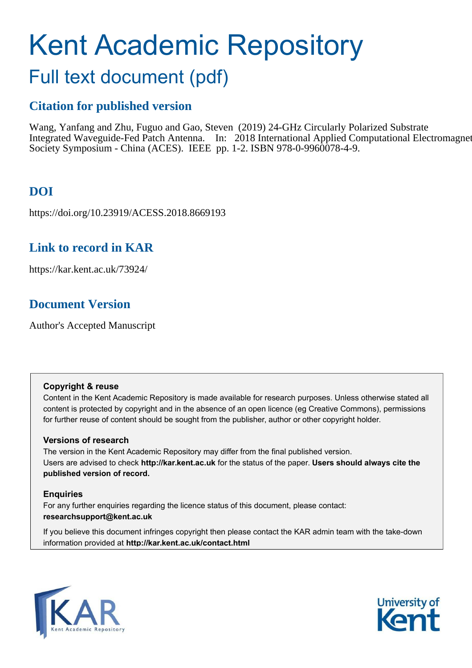# Kent Academic Repository

# Full text document (pdf)

### **Citation for published version**

Wang, Yanfang and Zhu, Fuguo and Gao, Steven (2019) 24-GHz Circularly Polarized Substrate Integrated Waveguide-Fed Patch Antenna. In: 2018 International Applied Computational Electromagnet Society Symposium - China (ACES). IEEE pp. 1-2. ISBN 978-0-9960078-4-9.

# **DOI**

https://doi.org/10.23919/ACESS.2018.8669193

### **Link to record in KAR**

https://kar.kent.ac.uk/73924/

# **Document Version**

Author's Accepted Manuscript

#### **Copyright & reuse**

Content in the Kent Academic Repository is made available for research purposes. Unless otherwise stated all content is protected by copyright and in the absence of an open licence (eg Creative Commons), permissions for further reuse of content should be sought from the publisher, author or other copyright holder.

#### **Versions of research**

The version in the Kent Academic Repository may differ from the final published version. Users are advised to check **http://kar.kent.ac.uk** for the status of the paper. **Users should always cite the published version of record.**

#### **Enquiries**

For any further enquiries regarding the licence status of this document, please contact: **researchsupport@kent.ac.uk**

If you believe this document infringes copyright then please contact the KAR admin team with the take-down information provided at **http://kar.kent.ac.uk/contact.html**



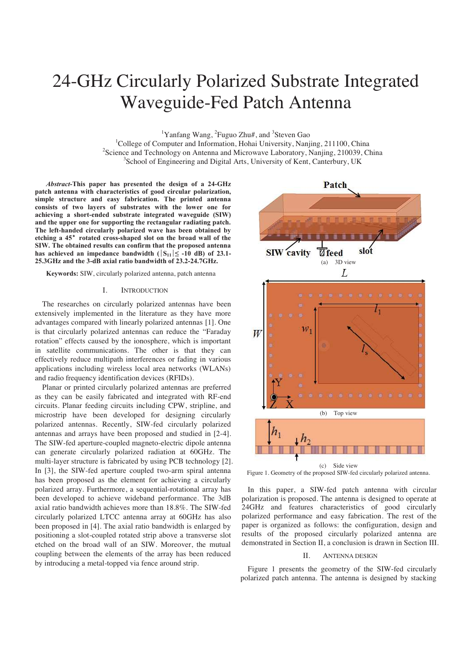# 24-GHz Circularly Polarized Substrate Integrated Waveguide-Fed Patch Antenna

<sup>1</sup>Yanfang Wang, <sup>2</sup>Fuguo Zhu#, and <sup>3</sup>Steven Gao

<sup>1</sup>College of Computer and Information, Hohai University, Nanjing, 211100, China <sup>2</sup>Science and Technology on Antenna and Microwave Laboratory, Nanjing, 210039, China <sup>3</sup>School of Engineering and Digital Arts, University of Kent, Canterbury, UK

*Abstract-***This paper has presented the design of a 24-GHz patch antenna with characteristics of good circular polarization, simple structure and easy fabrication. The printed antenna consists of two layers of substrates with the lower one for achieving a short-ended substrate integrated waveguide (SIW) and the upper one for supporting the rectangular radiating patch. The left-handed circularly polarized wave has been obtained by**  etching a 45° rotated cross-shaped slot on the broad wall of the **SIW. The obtained results can confirm that the proposed antenna**  has achieved an impedance bandwidth ( $|S_{11}| \leq -10$  dB) of 23.1-**25.3GHz and the 3-dB axial ratio bandwidth of 23.2-24.7GHz.** 

**Keywords:** SIW, circularly polarized antenna, patch antenna

#### I. INTRODUCTION

The researches on circularly polarized antennas have been extensively implemented in the literature as they have more advantages compared with linearly polarized antennas [1]. One is that circularly polarized antennas can reduce the "Faraday rotation" effects caused by the ionosphere, which is important in satellite communications. The other is that they can effectively reduce multipath interferences or fading in various applications including wireless local area networks (WLANs) and radio frequency identification devices (RFIDs).

Planar or printed circularly polarized antennas are preferred as they can be easily fabricated and integrated with RF-end circuits. Planar feeding circuits including CPW, stripline, and microstrip have been developed for designing circularly polarized antennas. Recently, SIW-fed circularly polarized antennas and arrays have been proposed and studied in [2-4]. The SIW-fed aperture-coupled magneto-electric dipole antenna can generate circularly polarized radiation at 60GHz. The multi-layer structure is fabricated by using PCB technology [2]. In [3], the SIW-fed aperture coupled two-arm spiral antenna has been proposed as the element for achieving a circularly polarized array. Furthermore, a sequential-rotational array has been developed to achieve wideband performance. The 3dB axial ratio bandwidth achieves more than 18.8%. The SIW-fed circularly polarized LTCC antenna array at 60GHz has also been proposed in [4]. The axial ratio bandwidth is enlarged by positioning a slot-coupled rotated strip above a transverse slot etched on the broad wall of an SIW. Moreover, the mutual coupling between the elements of the array has been reduced by introducing a metal-topped via fence around strip.



Figure 1. Geometry of the proposed SIW-fed circularly polarized antenna.

In this paper, a SIW-fed patch antenna with circular polarization is proposed. The antenna is designed to operate at 24GHz and features characteristics of good circularly polarized performance and easy fabrication. The rest of the paper is organized as follows: the configuration, design and results of the proposed circularly polarized antenna are demonstrated in Section II, a conclusion is drawn in Section III.

#### II. ANTENNA DESIGN

Figure 1 presents the geometry of the SIW-fed circularly polarized patch antenna. The antenna is designed by stacking